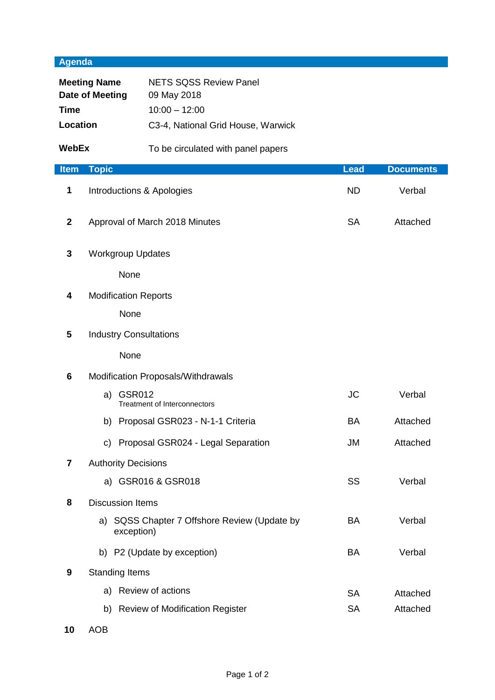## **Agenda**

| <b>Meeting Name</b><br>Date of Meeting<br><b>Time</b><br>Location |                                    | <b>NETS SQSS Review Panel</b><br>09 May 2018<br>$10:00 - 12:00$<br>C3-4, National Grid House, Warwick |             |                  |
|-------------------------------------------------------------------|------------------------------------|-------------------------------------------------------------------------------------------------------|-------------|------------------|
| <b>WebEx</b>                                                      |                                    | To be circulated with panel papers                                                                    |             |                  |
| <b>Item</b>                                                       | <b>Topic</b>                       |                                                                                                       | <b>Lead</b> | <b>Documents</b> |
| 1                                                                 | Introductions & Apologies          |                                                                                                       | <b>ND</b>   | Verbal           |
| $\mathbf{2}$                                                      | Approval of March 2018 Minutes     |                                                                                                       | <b>SA</b>   | Attached         |
| 3                                                                 | <b>Workgroup Updates</b>           |                                                                                                       |             |                  |
|                                                                   | None                               |                                                                                                       |             |                  |
| 4                                                                 | <b>Modification Reports</b>        |                                                                                                       |             |                  |
|                                                                   | None                               |                                                                                                       |             |                  |
| 5                                                                 | <b>Industry Consultations</b>      |                                                                                                       |             |                  |
|                                                                   | None                               |                                                                                                       |             |                  |
| 6                                                                 | Modification Proposals/Withdrawals |                                                                                                       |             |                  |
|                                                                   | <b>GSR012</b><br>a)                | <b>Treatment of Interconnectors</b>                                                                   | <b>JC</b>   | Verbal           |
|                                                                   |                                    | b) Proposal GSR023 - N-1-1 Criteria                                                                   | BA          | Attached         |
|                                                                   |                                    | c) Proposal GSR024 - Legal Separation                                                                 | JM          | Attached         |
| $\overline{\mathbf{r}}$                                           | <b>Authority Decisions</b>         |                                                                                                       |             |                  |
|                                                                   |                                    | a) GSR016 & GSR018                                                                                    | <b>SS</b>   | Verbal           |
| 8                                                                 | <b>Discussion Items</b>            |                                                                                                       |             |                  |
|                                                                   | exception)                         | a) SQSS Chapter 7 Offshore Review (Update by                                                          | BA          | Verbal           |
|                                                                   |                                    | b) P2 (Update by exception)                                                                           | BA          | Verbal           |
| 9                                                                 | <b>Standing Items</b>              |                                                                                                       |             |                  |
|                                                                   |                                    | a) Review of actions                                                                                  | <b>SA</b>   | Attached         |
|                                                                   |                                    | b) Review of Modification Register                                                                    | <b>SA</b>   | Attached         |

**10** AOB